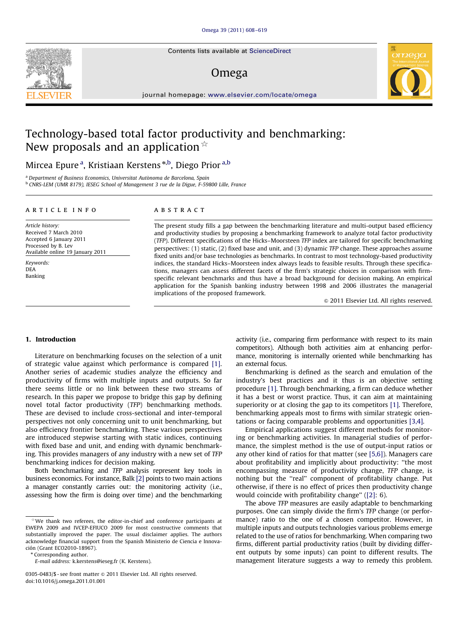Contents lists available at ScienceDirect

### Omega



journal homepage: <www.elsevier.com/locate/omega>

## Technology-based total factor productivity and benchmarking: New proposals and an application  $\dot{\mathbb{R}}$

Mircea Epure <sup>a</sup>, Kristiaan Kerstens <sup>\*,b</sup>, Diego Prior <sup>a,b</sup>

<sup>a</sup> Department of Business Economics, Universitat Autònoma de Barcelona, Spain <sup>b</sup> CNRS-LEM (UMR 8179), IESEG School of Management 3 rue de la Digue, F-59800 Lille, France

#### article info

Article history: Received 7 March 2010 Accepted 6 January 2011 Processed by B. Lev Available online 19 January 2011 Keywords:

DEA Banking

#### **ABSTRACT**

The present study fills a gap between the benchmarking literature and multi-output based efficiency and productivity studies by proposing a benchmarking framework to analyze total factor productivity (TFP). Different specifications of the Hicks–Moorsteen TFP index are tailored for specific benchmarking perspectives: (1) static, (2) fixed base and unit, and (3) dynamic TFP change. These approaches assume fixed units and/or base technologies as benchmarks. In contrast to most technology-based productivity indices, the standard Hicks–Moorsteen index always leads to feasible results. Through these specifications, managers can assess different facets of the firm's strategic choices in comparison with firmspecific relevant benchmarks and thus have a broad background for decision making. An empirical application for the Spanish banking industry between 1998 and 2006 illustrates the managerial implications of the proposed framework.

 $\odot$  2011 Elsevier Ltd. All rights reserved.

#### 1. Introduction

Literature on benchmarking focuses on the selection of a unit of strategic value against which performance is compared [\[1\].](#page--1-0) Another series of academic studies analyze the efficiency and productivity of firms with multiple inputs and outputs. So far there seems little or no link between these two streams of research. In this paper we propose to bridge this gap by defining novel total factor productivity (TFP) benchmarking methods. These are devised to include cross-sectional and inter-temporal perspectives not only concerning unit to unit benchmarking, but also efficiency frontier benchmarking. These various perspectives are introduced stepwise starting with static indices, continuing with fixed base and unit, and ending with dynamic benchmarking. This provides managers of any industry with a new set of TFP benchmarking indices for decision making.

Both benchmarking and TFP analysis represent key tools in business economics. For instance, Balk [\[2\]](#page--1-0) points to two main actions a manager constantly carries out: the monitoring activity (i.e., assessing how the firm is doing over time) and the benchmarking

\* Corresponding author.

activity (i.e., comparing firm performance with respect to its main competitors). Although both activities aim at enhancing performance, monitoring is internally oriented while benchmarking has an external focus.

Benchmarking is defined as the search and emulation of the industry's best practices and it thus is an objective setting procedure [\[1\]](#page--1-0). Through benchmarking, a firm can deduce whether it has a best or worst practice. Thus, it can aim at maintaining superiority or at closing the gap to its competitors [\[1\].](#page--1-0) Therefore, benchmarking appeals most to firms with similar strategic orientations or facing comparable problems and opportunities [\[3,4\].](#page--1-0)

Empirical applications suggest different methods for monitoring or benchmarking activities. In managerial studies of performance, the simplest method is the use of output-input ratios or any other kind of ratios for that matter (see [\[5,6\]\)](#page--1-0). Managers care about profitability and implicitly about productivity: ''the most encompassing measure of productivity change, TFP change, is nothing but the ''real'' component of profitability change. Put otherwise, if there is no effect of prices then productivity change would coincide with profitability change'' ([\[2\]:](#page--1-0) 6).

The above TFP measures are easily adaptable to benchmarking purposes. One can simply divide the firm's TFP change (or performance) ratio to the one of a chosen competitor. However, in multiple inputs and outputs technologies various problems emerge related to the use of ratios for benchmarking. When comparing two firms, different partial productivity ratios (built by dividing different outputs by some inputs) can point to different results. The management literature suggests a way to remedy this problem.



 $*$ We thank two referees, the editor-in-chief and conference participants at EWEPA 2009 and IVCEP-EFIUCO 2009 for most constructive comments that substantially improved the paper. The usual disclaimer applies. The authors acknowledge financial support from the Spanish Ministerio de Ciencia e Innovación (Grant ECO2010-18967).

E-mail address: [k.kerstens@ieseg.fr \(K. Kerstens\)](mailto:k.kerstens@ieseg.fr).

<sup>0305-0483/\$ -</sup> see front matter  $\circ$  2011 Elsevier Ltd. All rights reserved. doi:[10.1016/j.omega.2011.01.001](dx.doi.org/10.1016/j.omega.2011.01.001)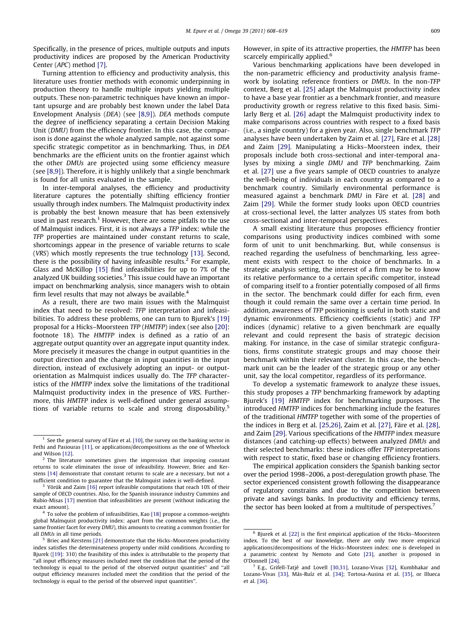Specifically, in the presence of prices, multiple outputs and inputs productivity indices are proposed by the American Productivity Center (APC) method [\[7\]](#page--1-0).

Turning attention to efficiency and productivity analysis, this literature uses frontier methods with economic underpinning in production theory to handle multiple inputs yielding multiple outputs. These non-parametric techniques have known an important upsurge and are probably best known under the label Data Envelopment Analysis (DEA) (see [\[8,9\]\)](#page--1-0). DEA methods compute the degree of inefficiency separating a certain Decision Making Unit (DMU) from the efficiency frontier. In this case, the comparison is done against the whole analyzed sample, not against some specific strategic competitor as in benchmarking. Thus, in DEA benchmarks are the efficient units on the frontier against which the other DMUs are projected using some efficiency measure (see [\[8,9\]\)](#page--1-0). Therefore, it is highly unlikely that a single benchmark is found for all units evaluated in the sample.

In inter-temporal analyses, the efficiency and productivity literature captures the potentially shifting efficiency frontier usually through index numbers. The Malmquist productivity index is probably the best known measure that has been extensively used in past research.<sup>1</sup> However, there are some pitfalls to the use of Malmquist indices. First, it is not always a TFP index: while the TFP properties are maintained under constant returns to scale, shortcomings appear in the presence of variable returns to scale (VRS) which mostly represents the true technology [\[13\].](#page--1-0) Second, there is the possibility of having infeasible results.<sup>2</sup> For example, Glass and McKillop [\[15\]](#page--1-0) find infeasibilities for up to 7% of the analyzed UK building societies.<sup>3</sup> This issue could have an important impact on benchmarking analysis, since managers wish to obtain firm level results that may not always be available.<sup>4</sup>

As a result, there are two main issues with the Malmquist index that need to be resolved: TFP interpretation and infeasibilities. To address these problems, one can turn to Bjurek's [\[19\]](#page--1-0) proposal for a Hicks–Moorsteen TFP (HMTFP) index (see also [\[20\]:](#page--1-0) footnote 18). The HMTFP index is defined as a ratio of an aggregate output quantity over an aggregate input quantity index. More precisely it measures the change in output quantities in the output direction and the change in input quantities in the input direction, instead of exclusively adopting an input- or outputorientation as Malmquist indices usually do. The TFP characteristics of the HMTFP index solve the limitations of the traditional Malmquist productivity index in the presence of VRS. Furthermore, this HMTFP index is well-defined under general assumptions of variable returns to scale and strong disposability.<sup>5</sup>

However, in spite of its attractive properties, the HMTFP has been scarcely empirically applied.<sup>6</sup>

Various benchmarking applications have been developed in the non-parametric efficiency and productivity analysis framework by isolating reference frontiers or DMUs. In the non-TFP context, Berg et al. [\[25\]](#page--1-0) adapt the Malmquist productivity index to have a base year frontier as a benchmark frontier, and measure productivity growth or regress relative to this fixed basis. Similarly Berg et al. [\[26\]](#page--1-0) adapt the Malmquist productivity index to make comparisons across countries with respect to a fixed basis (i.e., a single country) for a given year. Also, single benchmark TFP analyses have been undertaken by Zaim et al. [\[27\]](#page--1-0), Färe et al. [\[28\]](#page--1-0) and Zaim [\[29\].](#page--1-0) Manipulating a Hicks–Moorsteen index, their proposals include both cross-sectional and inter-temporal analyses by mixing a single DMU and TFP benchmarking. Zaim et al. [\[27\]](#page--1-0) use a five years sample of OECD countries to analyze the well-being of individuals in each country as compared to a benchmark country. Similarly environmental performance is measured against a benchmark DMU in Färe et al. [\[28\]](#page--1-0) and Zaim [\[29\]](#page--1-0). While the former study looks upon OECD countries at cross-sectional level, the latter analyzes US states from both cross-sectional and inter-temporal perspectives.

A small existing literature thus proposes efficiency frontier comparisons using productivity indices combined with some form of unit to unit benchmarking. But, while consensus is reached regarding the usefulness of benchmarking, less agreement exists with respect to the choice of benchmarks. In a strategic analysis setting, the interest of a firm may be to know its relative performance to a certain specific competitor, instead of comparing itself to a frontier potentially composed of all firms in the sector. The benchmark could differ for each firm, even though it could remain the same over a certain time period. In addition, awareness of TFP positioning is useful in both static and dynamic environments. Efficiency coefficients (static) and TFP indices (dynamic) relative to a given benchmark are equally relevant and could represent the basis of strategic decision making. For instance, in the case of similar strategic configurations, firms constitute strategic groups and may choose their benchmark within their relevant cluster. In this case, the benchmark unit can be the leader of the strategic group or any other unit, say the local competitor, regardless of its performance.

To develop a systematic framework to analyze these issues, this study proposes a TFP benchmarking framework by adapting Bjurek's [\[19\]](#page--1-0) HMTFP index for benchmarking purposes. The introduced HMTFP indices for benchmarking include the features of the traditional HMTFP together with some of the properties of the indices in Berg et al.  $[25,26]$ , Zaim et al.  $[27]$ , Färe et al.  $[28]$ , and Zaim [\[29\].](#page--1-0) Various specifications of the HMTFP index measure distances (and catching-up effects) between analyzed DMUs and their selected benchmarks: these indices offer TFP interpretations with respect to static, fixed base or changing efficiency frontiers.

The empirical application considers the Spanish banking sector over the period 1998–2006, a post-deregulation growth phase. The sector experienced consistent growth following the disappearance of regulatory constrains and due to the competition between private and savings banks. In productivity and efficiency terms, the sector has been looked at from a multitude of perspectives.<sup>7</sup>

 $1$  See the general survey of Färe et al. [\[10\]](#page--1-0), the survey on the banking sector in Fethi and Pasiouras [\[11\],](#page--1-0) or applications/decompositions as the one of Wheelock and Wilson [\[12\].](#page--1-0)

 $2$  The literature sometimes gives the impression that imposing constant returns to scale eliminates the issue of infeasibility. However, Briec and Kerstens [\[14\]](#page--1-0) demonstrate that constant returns to scale are a necessary, but not a sufficient condition to guarantee that the Malmquist index is well-defined.

Yörük and Zaim [\[16\]](#page--1-0) report infeasible computations that reach 10% of their sample of OECD countries. Also, for the Spanish insurance industry Cummins and Rubio-Misas [\[17\]](#page--1-0) mention that infeasibilities are present (without indicating the exact amount).

 $4$  To solve the problem of infeasibilities, Kao [\[18\]](#page--1-0) propose a common-weights global Malmquist productivity index: apart from the common weights (i.e., the same frontier facet for every DMU), this amounts to creating a common frontier for all DMUs in all time periods.

<sup>5</sup> Briec and Kerstens [\[21\]](#page--1-0) demonstrate that the Hicks–Moorsteen productivity index satisfies the determinateness property under mild conditions. According to Bjurek [\(\[19\]:](#page--1-0) 310) the feasibility of this index is attributable to the property that ''all input efficiency measures included meet the condition that the period of the technology is equal to the period of the observed output quantities'' and ''all output efficiency measures included meet the condition that the period of the technology is equal to the period of the observed input quantities''.

<sup>&</sup>lt;sup>6</sup> Bjurek et al. [\[22\]](#page--1-0) is the first empirical application of the Hicks-Moorsteen index. To the best of our knowledge, there are only two more empirical applications/decompositions of the Hicks–Moorsteen index: one is developed in a parametric context by Nemoto and Goto [\[23\],](#page--1-0) another is proposed in O'Donnell [\[24\].](#page--1-0)

 $7$  E.g., Grifell-Tatjé and Lovell [\[30,31\]](#page--1-0), Lozano-Vivas [\[32\],](#page--1-0) Kumbhakar and Lozano-Vivas [\[33\]](#page--1-0), Más-Ruíz et al. [\[34\];](#page--1-0) Tortosa-Ausina et al. [\[35\]](#page--1-0), or Illueca et al. [\[36\].](#page--1-0)